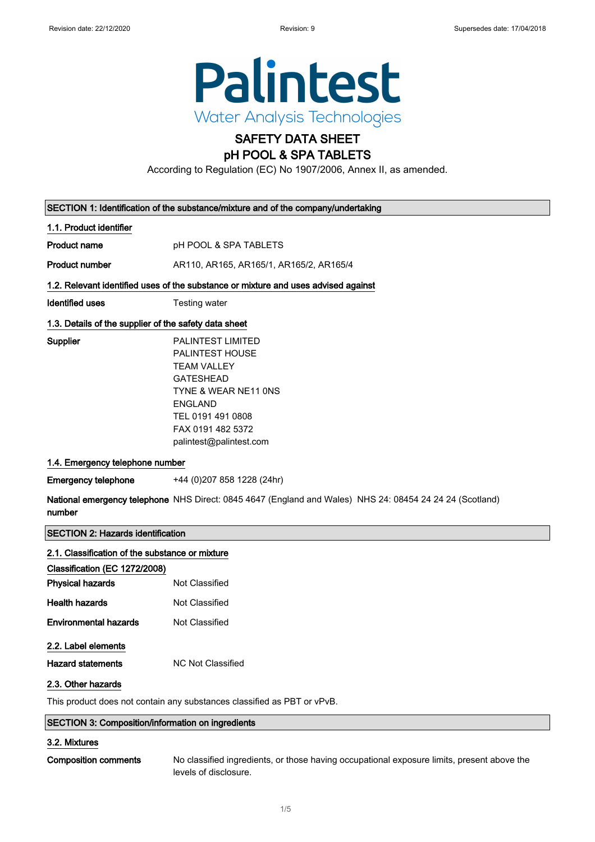

# SAFETY DATA SHEET

### pH POOL & SPA TABLETS

According to Regulation (EC) No 1907/2006, Annex II, as amended.

| SECTION 1: Identification of the substance/mixture and of the company/undertaking |                                                                                                                                                                                                             |  |
|-----------------------------------------------------------------------------------|-------------------------------------------------------------------------------------------------------------------------------------------------------------------------------------------------------------|--|
| 1.1. Product identifier                                                           |                                                                                                                                                                                                             |  |
| <b>Product name</b>                                                               | pH POOL & SPA TABLETS                                                                                                                                                                                       |  |
| <b>Product number</b>                                                             | AR110, AR165, AR165/1, AR165/2, AR165/4                                                                                                                                                                     |  |
|                                                                                   | 1.2. Relevant identified uses of the substance or mixture and uses advised against                                                                                                                          |  |
| <b>Identified uses</b>                                                            | Testing water                                                                                                                                                                                               |  |
| 1.3. Details of the supplier of the safety data sheet                             |                                                                                                                                                                                                             |  |
| Supplier                                                                          | <b>PALINTEST LIMITED</b><br><b>PALINTEST HOUSE</b><br><b>TEAM VALLEY</b><br><b>GATESHEAD</b><br>TYNE & WEAR NE11 ONS<br><b>ENGLAND</b><br>TEL 0191 491 0808<br>FAX 0191 482 5372<br>palintest@palintest.com |  |
| 1.4. Emergency telephone number                                                   |                                                                                                                                                                                                             |  |
| <b>Emergency telephone</b>                                                        | +44 (0) 207 858 1228 (24hr)                                                                                                                                                                                 |  |
| number                                                                            | National emergency telephone NHS Direct: 0845 4647 (England and Wales) NHS 24: 08454 24 24 24 (Scotland)                                                                                                    |  |
| <b>SECTION 2: Hazards identification</b>                                          |                                                                                                                                                                                                             |  |
| 2.1. Classification of the substance or mixture                                   |                                                                                                                                                                                                             |  |
| Classification (EC 1272/2008)                                                     |                                                                                                                                                                                                             |  |
| <b>Physical hazards</b>                                                           | Not Classified                                                                                                                                                                                              |  |
| <b>Health hazards</b>                                                             | Not Classified                                                                                                                                                                                              |  |
| <b>Environmental hazards</b>                                                      | Not Classified                                                                                                                                                                                              |  |

### 2.2. Label elements

Hazard statements MC Not Classified

### 2.3. Other hazards

This product does not contain any substances classified as PBT or vPvB.

### SECTION 3: Composition/information on ingredients

### 3.2. Mixtures

Composition comments No classified ingredients, or those having occupational exposure limits, present above the levels of disclosure.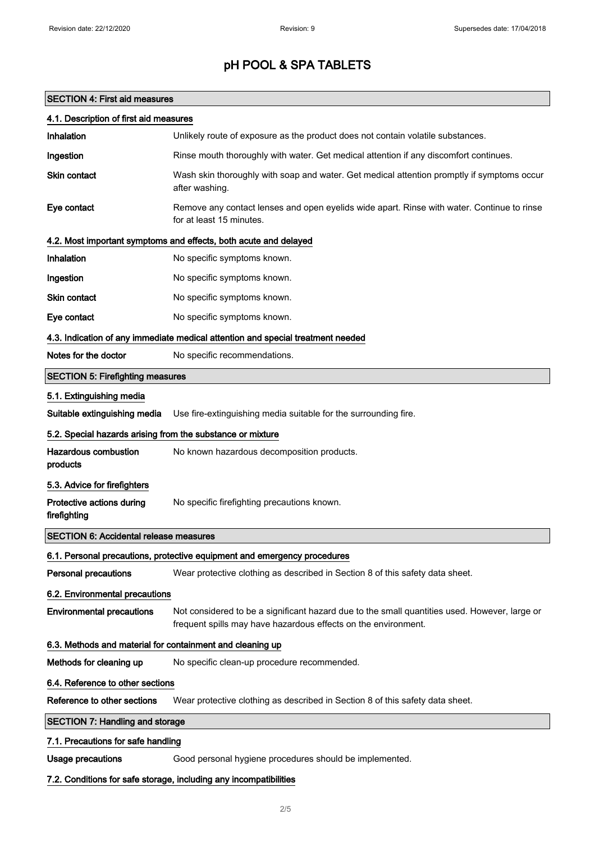### SECTION 4: First aid measures

| 4.1. Description of first aid measures                                          |                                                                                                                                                                 |  |
|---------------------------------------------------------------------------------|-----------------------------------------------------------------------------------------------------------------------------------------------------------------|--|
| Inhalation                                                                      | Unlikely route of exposure as the product does not contain volatile substances.                                                                                 |  |
| Ingestion                                                                       | Rinse mouth thoroughly with water. Get medical attention if any discomfort continues.                                                                           |  |
| Skin contact                                                                    | Wash skin thoroughly with soap and water. Get medical attention promptly if symptoms occur<br>after washing.                                                    |  |
| Eye contact                                                                     | Remove any contact lenses and open eyelids wide apart. Rinse with water. Continue to rinse<br>for at least 15 minutes.                                          |  |
| 4.2. Most important symptoms and effects, both acute and delayed                |                                                                                                                                                                 |  |
| Inhalation                                                                      | No specific symptoms known.                                                                                                                                     |  |
| Ingestion                                                                       | No specific symptoms known.                                                                                                                                     |  |
| Skin contact                                                                    | No specific symptoms known.                                                                                                                                     |  |
| Eye contact                                                                     | No specific symptoms known.                                                                                                                                     |  |
| 4.3. Indication of any immediate medical attention and special treatment needed |                                                                                                                                                                 |  |
| Notes for the doctor                                                            | No specific recommendations.                                                                                                                                    |  |
| <b>SECTION 5: Firefighting measures</b>                                         |                                                                                                                                                                 |  |
| 5.1. Extinguishing media                                                        |                                                                                                                                                                 |  |
| Suitable extinguishing media                                                    | Use fire-extinguishing media suitable for the surrounding fire.                                                                                                 |  |
| 5.2. Special hazards arising from the substance or mixture                      |                                                                                                                                                                 |  |
| <b>Hazardous combustion</b><br>products                                         | No known hazardous decomposition products.                                                                                                                      |  |
| 5.3. Advice for firefighters                                                    |                                                                                                                                                                 |  |
| Protective actions during<br>firefighting                                       | No specific firefighting precautions known.                                                                                                                     |  |
| <b>SECTION 6: Accidental release measures</b>                                   |                                                                                                                                                                 |  |
|                                                                                 | 6.1. Personal precautions, protective equipment and emergency procedures                                                                                        |  |
| Personal precautions                                                            | Wear protective clothing as described in Section 8 of this safety data sheet.                                                                                   |  |
| 6.2. Environmental precautions                                                  |                                                                                                                                                                 |  |
| <b>Environmental precautions</b>                                                | Not considered to be a significant hazard due to the small quantities used. However, large or<br>frequent spills may have hazardous effects on the environment. |  |
| 6.3. Methods and material for containment and cleaning up                       |                                                                                                                                                                 |  |
| Methods for cleaning up                                                         | No specific clean-up procedure recommended.                                                                                                                     |  |
| 6.4. Reference to other sections                                                |                                                                                                                                                                 |  |
| Reference to other sections                                                     | Wear protective clothing as described in Section 8 of this safety data sheet.                                                                                   |  |
| <b>SECTION 7: Handling and storage</b>                                          |                                                                                                                                                                 |  |
| 7.1. Precautions for safe handling                                              |                                                                                                                                                                 |  |
| <b>Usage precautions</b>                                                        | Good personal hygiene procedures should be implemented.                                                                                                         |  |
|                                                                                 | 7.2. Conditions for safe storage, including any incompatibilities                                                                                               |  |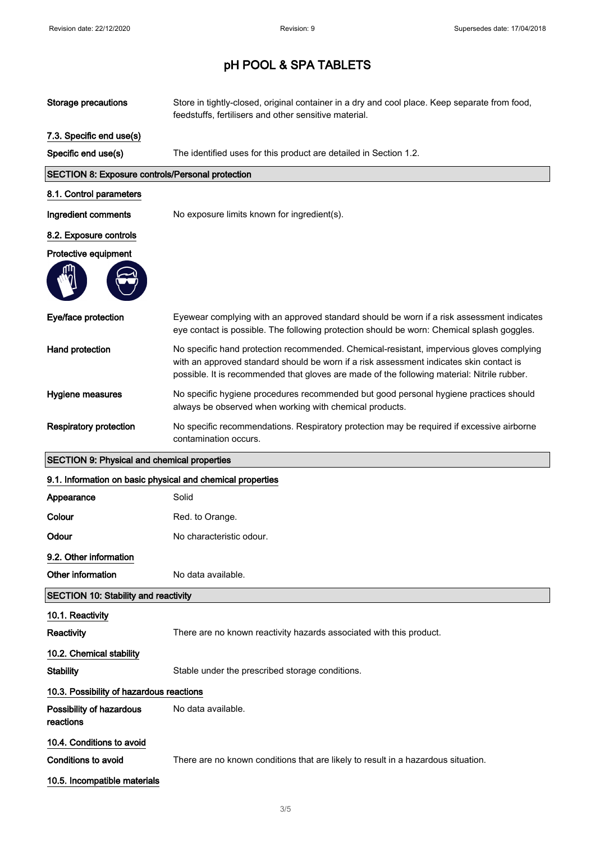| <b>Storage precautions</b>                                 | Store in tightly-closed, original container in a dry and cool place. Keep separate from food,<br>feedstuffs, fertilisers and other sensitive material.                                                                                                                             |  |
|------------------------------------------------------------|------------------------------------------------------------------------------------------------------------------------------------------------------------------------------------------------------------------------------------------------------------------------------------|--|
| 7.3. Specific end use(s)                                   |                                                                                                                                                                                                                                                                                    |  |
| Specific end use(s)                                        | The identified uses for this product are detailed in Section 1.2.                                                                                                                                                                                                                  |  |
| <b>SECTION 8: Exposure controls/Personal protection</b>    |                                                                                                                                                                                                                                                                                    |  |
| 8.1. Control parameters                                    |                                                                                                                                                                                                                                                                                    |  |
| Ingredient comments                                        | No exposure limits known for ingredient(s).                                                                                                                                                                                                                                        |  |
| 8.2. Exposure controls                                     |                                                                                                                                                                                                                                                                                    |  |
| Protective equipment                                       |                                                                                                                                                                                                                                                                                    |  |
|                                                            |                                                                                                                                                                                                                                                                                    |  |
| Eye/face protection                                        | Eyewear complying with an approved standard should be worn if a risk assessment indicates<br>eye contact is possible. The following protection should be worn: Chemical splash goggles.                                                                                            |  |
| Hand protection                                            | No specific hand protection recommended. Chemical-resistant, impervious gloves complying<br>with an approved standard should be worn if a risk assessment indicates skin contact is<br>possible. It is recommended that gloves are made of the following material: Nitrile rubber. |  |
| Hygiene measures                                           | No specific hygiene procedures recommended but good personal hygiene practices should<br>always be observed when working with chemical products.                                                                                                                                   |  |
| <b>Respiratory protection</b>                              | No specific recommendations. Respiratory protection may be required if excessive airborne<br>contamination occurs.                                                                                                                                                                 |  |
| <b>SECTION 9: Physical and chemical properties</b>         |                                                                                                                                                                                                                                                                                    |  |
|                                                            |                                                                                                                                                                                                                                                                                    |  |
| 9.1. Information on basic physical and chemical properties |                                                                                                                                                                                                                                                                                    |  |
| Appearance                                                 | Solid                                                                                                                                                                                                                                                                              |  |
| Colour                                                     | Red. to Orange.                                                                                                                                                                                                                                                                    |  |
| Odour                                                      | No characteristic odour.                                                                                                                                                                                                                                                           |  |
| 9.2. Other information                                     |                                                                                                                                                                                                                                                                                    |  |
| Other information                                          | No data available.                                                                                                                                                                                                                                                                 |  |
| <b>SECTION 10: Stability and reactivity</b>                |                                                                                                                                                                                                                                                                                    |  |
| 10.1. Reactivity                                           |                                                                                                                                                                                                                                                                                    |  |
| Reactivity                                                 | There are no known reactivity hazards associated with this product.                                                                                                                                                                                                                |  |
| 10.2. Chemical stability                                   |                                                                                                                                                                                                                                                                                    |  |
| <b>Stability</b>                                           | Stable under the prescribed storage conditions.                                                                                                                                                                                                                                    |  |
| 10.3. Possibility of hazardous reactions                   |                                                                                                                                                                                                                                                                                    |  |
| Possibility of hazardous<br>reactions                      | No data available.                                                                                                                                                                                                                                                                 |  |
| 10.4. Conditions to avoid                                  |                                                                                                                                                                                                                                                                                    |  |
| <b>Conditions to avoid</b>                                 | There are no known conditions that are likely to result in a hazardous situation.                                                                                                                                                                                                  |  |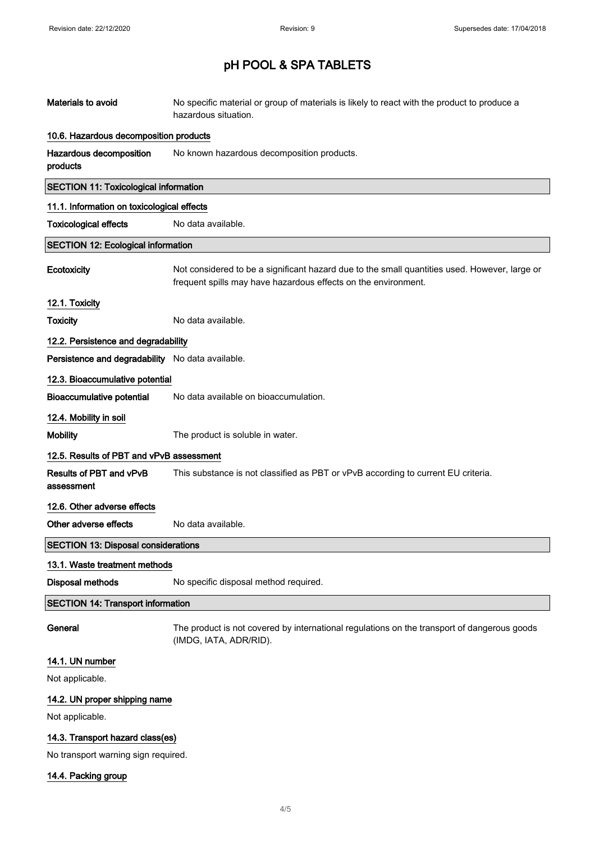| Materials to avoid                               | No specific material or group of materials is likely to react with the product to produce a<br>hazardous situation.                                             |  |
|--------------------------------------------------|-----------------------------------------------------------------------------------------------------------------------------------------------------------------|--|
| 10.6. Hazardous decomposition products           |                                                                                                                                                                 |  |
| Hazardous decomposition<br>products              | No known hazardous decomposition products.                                                                                                                      |  |
| <b>SECTION 11: Toxicological information</b>     |                                                                                                                                                                 |  |
| 11.1. Information on toxicological effects       |                                                                                                                                                                 |  |
| <b>Toxicological effects</b>                     | No data available.                                                                                                                                              |  |
| <b>SECTION 12: Ecological information</b>        |                                                                                                                                                                 |  |
| Ecotoxicity                                      | Not considered to be a significant hazard due to the small quantities used. However, large or<br>frequent spills may have hazardous effects on the environment. |  |
| 12.1. Toxicity                                   |                                                                                                                                                                 |  |
| <b>Toxicity</b>                                  | No data available.                                                                                                                                              |  |
| 12.2. Persistence and degradability              |                                                                                                                                                                 |  |
| Persistence and degradability No data available. |                                                                                                                                                                 |  |
| 12.3. Bioaccumulative potential                  |                                                                                                                                                                 |  |
| <b>Bioaccumulative potential</b>                 | No data available on bioaccumulation.                                                                                                                           |  |
| 12.4. Mobility in soil                           |                                                                                                                                                                 |  |
| <b>Mobility</b>                                  | The product is soluble in water.                                                                                                                                |  |
| 12.5. Results of PBT and vPvB assessment         |                                                                                                                                                                 |  |
| Results of PBT and vPvB<br>assessment            | This substance is not classified as PBT or vPvB according to current EU criteria.                                                                               |  |
| 12.6. Other adverse effects                      |                                                                                                                                                                 |  |
| Other adverse effects                            | No data available.                                                                                                                                              |  |
| <b>SECTION 13: Disposal considerations</b>       |                                                                                                                                                                 |  |
| 13.1. Waste treatment methods                    |                                                                                                                                                                 |  |
| Disposal methods                                 | No specific disposal method required.                                                                                                                           |  |
| <b>SECTION 14: Transport information</b>         |                                                                                                                                                                 |  |
| General                                          | The product is not covered by international regulations on the transport of dangerous goods<br>(IMDG, IATA, ADR/RID).                                           |  |
| 14.1. UN number                                  |                                                                                                                                                                 |  |
| Not applicable.                                  |                                                                                                                                                                 |  |
| 14.2. UN proper shipping name                    |                                                                                                                                                                 |  |
| Not applicable.                                  |                                                                                                                                                                 |  |
| 14.3. Transport hazard class(es)                 |                                                                                                                                                                 |  |
| No transport warning sign required.              |                                                                                                                                                                 |  |

14.4. Packing group